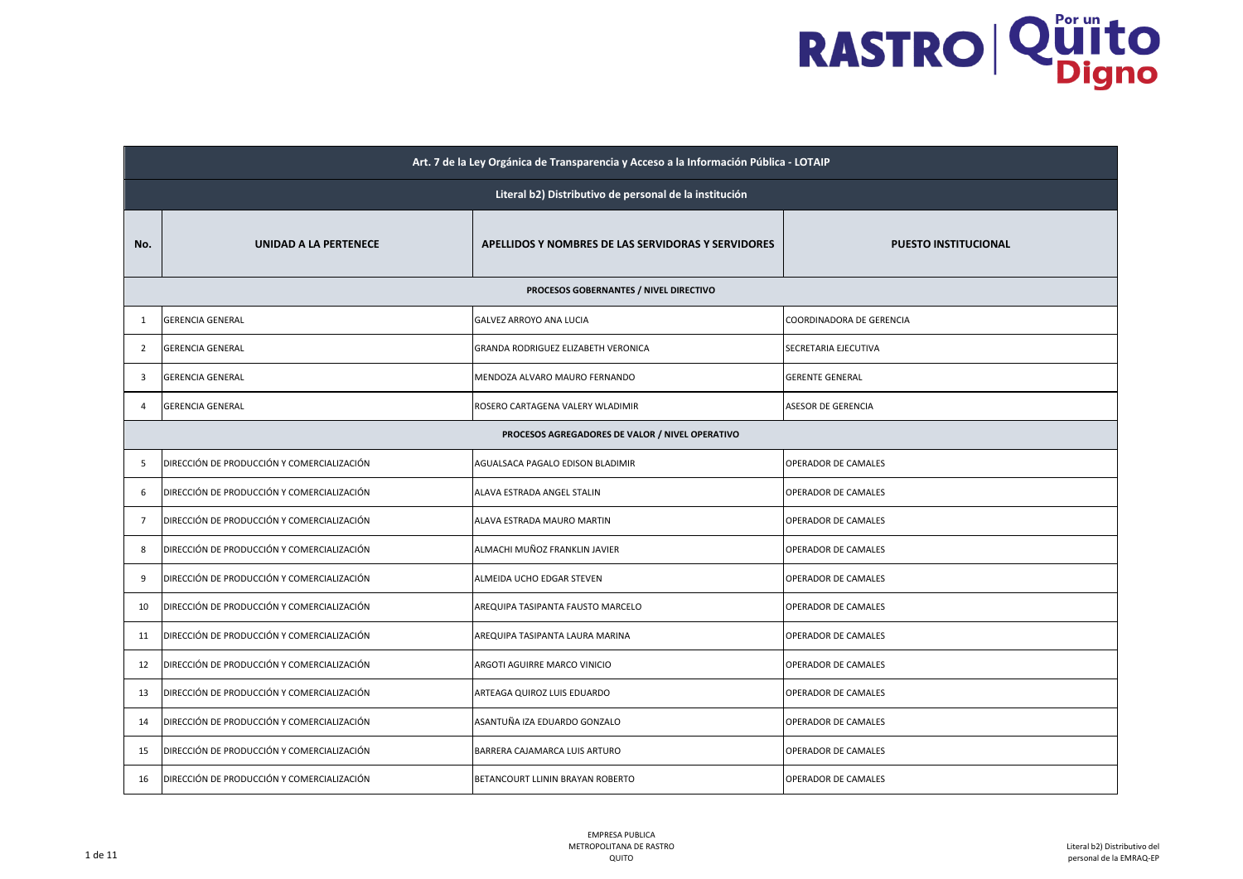|                | Art. 7 de la Ley Orgánica de Transparencia y Acceso a la Información Pública - LOTAIP |                                                    |                             |  |
|----------------|---------------------------------------------------------------------------------------|----------------------------------------------------|-----------------------------|--|
|                | Literal b2) Distributivo de personal de la institución                                |                                                    |                             |  |
| No.            | UNIDAD A LA PERTENECE                                                                 | APELLIDOS Y NOMBRES DE LAS SERVIDORAS Y SERVIDORES | <b>PUESTO INSTITUCIONAL</b> |  |
|                |                                                                                       | PROCESOS GOBERNANTES / NIVEL DIRECTIVO             |                             |  |
| 1              | <b>GERENCIA GENERAL</b>                                                               | GALVEZ ARROYO ANA LUCIA                            | COORDINADORA DE GERENCIA    |  |
| 2              | <b>GERENCIA GENERAL</b>                                                               | GRANDA RODRIGUEZ ELIZABETH VERONICA                | SECRETARIA EJECUTIVA        |  |
| 3              | <b>GERENCIA GENERAL</b>                                                               | MENDOZA ALVARO MAURO FERNANDO                      | <b>GERENTE GENERAL</b>      |  |
| $\overline{4}$ | <b>GERENCIA GENERAL</b>                                                               | ROSERO CARTAGENA VALERY WLADIMIR                   | ASESOR DE GERENCIA          |  |
|                |                                                                                       | PROCESOS AGREGADORES DE VALOR / NIVEL OPERATIVO    |                             |  |
| 5              | DIRECCIÓN DE PRODUCCIÓN Y COMERCIALIZACIÓN                                            | AGUALSACA PAGALO EDISON BLADIMIR                   | <b>OPERADOR DE CAMALES</b>  |  |
| 6              | DIRECCIÓN DE PRODUCCIÓN Y COMERCIALIZACIÓN                                            | ALAVA ESTRADA ANGEL STALIN                         | OPERADOR DE CAMALES         |  |
| $\overline{7}$ | DIRECCIÓN DE PRODUCCIÓN Y COMERCIALIZACIÓN                                            | ALAVA ESTRADA MAURO MARTIN                         | OPERADOR DE CAMALES         |  |
| 8              | DIRECCIÓN DE PRODUCCIÓN Y COMERCIALIZACIÓN                                            | ALMACHI MUÑOZ FRANKLIN JAVIER                      | <b>OPERADOR DE CAMALES</b>  |  |
| 9              | DIRECCIÓN DE PRODUCCIÓN Y COMERCIALIZACIÓN                                            | ALMEIDA UCHO EDGAR STEVEN                          | OPERADOR DE CAMALES         |  |
| 10             | DIRECCIÓN DE PRODUCCIÓN Y COMERCIALIZACIÓN                                            | AREQUIPA TASIPANTA FAUSTO MARCELO                  | OPERADOR DE CAMALES         |  |
| 11             | DIRECCIÓN DE PRODUCCIÓN Y COMERCIALIZACIÓN                                            | AREQUIPA TASIPANTA LAURA MARINA                    | <b>OPERADOR DE CAMALES</b>  |  |
| 12             | DIRECCIÓN DE PRODUCCIÓN Y COMERCIALIZACIÓN                                            | ARGOTI AGUIRRE MARCO VINICIO                       | <b>OPERADOR DE CAMALES</b>  |  |
| 13             | DIRECCIÓN DE PRODUCCIÓN Y COMERCIALIZACIÓN                                            | ARTEAGA QUIROZ LUIS EDUARDO                        | OPERADOR DE CAMALES         |  |
| 14             | DIRECCIÓN DE PRODUCCIÓN Y COMERCIALIZACIÓN                                            | ASANTUÑA IZA EDUARDO GONZALO                       | <b>OPERADOR DE CAMALES</b>  |  |
| 15             | DIRECCIÓN DE PRODUCCIÓN Y COMERCIALIZACIÓN                                            | BARRERA CAJAMARCA LUIS ARTURO                      | <b>OPERADOR DE CAMALES</b>  |  |
| 16             | DIRECCIÓN DE PRODUCCIÓN Y COMERCIALIZACIÓN                                            | BETANCOURT LLININ BRAYAN ROBERTO                   | <b>OPERADOR DE CAMALES</b>  |  |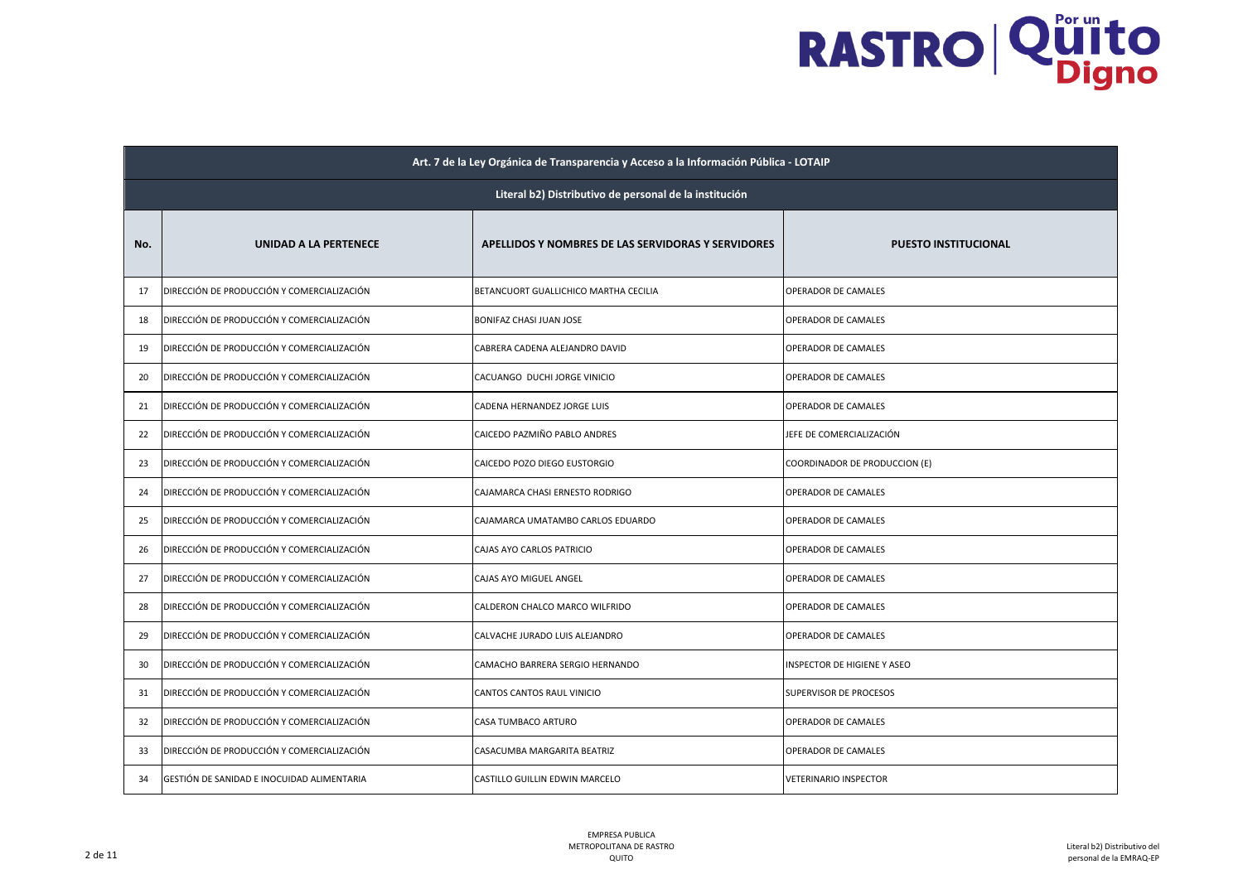|     | Art. 7 de la Ley Orgánica de Transparencia y Acceso a la Información Pública - LOTAIP |                                                    |                                    |  |
|-----|---------------------------------------------------------------------------------------|----------------------------------------------------|------------------------------------|--|
|     | Literal b2) Distributivo de personal de la institución                                |                                                    |                                    |  |
| No. | UNIDAD A LA PERTENECE                                                                 | APELLIDOS Y NOMBRES DE LAS SERVIDORAS Y SERVIDORES | <b>PUESTO INSTITUCIONAL</b>        |  |
| 17  | DIRECCIÓN DE PRODUCCIÓN Y COMERCIALIZACIÓN                                            | BETANCUORT GUALLICHICO MARTHA CECILIA              | OPERADOR DE CAMALES                |  |
| 18  | DIRECCIÓN DE PRODUCCIÓN Y COMERCIALIZACIÓN                                            | BONIFAZ CHASI JUAN JOSE                            | OPERADOR DE CAMALES                |  |
| 19  | DIRECCIÓN DE PRODUCCIÓN Y COMERCIALIZACIÓN                                            | CABRERA CADENA ALEJANDRO DAVID                     | OPERADOR DE CAMALES                |  |
| 20  | DIRECCIÓN DE PRODUCCIÓN Y COMERCIALIZACIÓN                                            | CACUANGO DUCHI JORGE VINICIO                       | OPERADOR DE CAMALES                |  |
| 21  | DIRECCIÓN DE PRODUCCIÓN Y COMERCIALIZACIÓN                                            | CADENA HERNANDEZ JORGE LUIS                        | OPERADOR DE CAMALES                |  |
| 22  | DIRECCIÓN DE PRODUCCIÓN Y COMERCIALIZACIÓN                                            | CAICEDO PAZMIÑO PABLO ANDRES                       | JEFE DE COMERCIALIZACIÓN           |  |
| 23  | DIRECCIÓN DE PRODUCCIÓN Y COMERCIALIZACIÓN                                            | CAICEDO POZO DIEGO EUSTORGIO                       | COORDINADOR DE PRODUCCION (E)      |  |
| 24  | DIRECCIÓN DE PRODUCCIÓN Y COMERCIALIZACIÓN                                            | CAJAMARCA CHASI ERNESTO RODRIGO                    | OPERADOR DE CAMALES                |  |
| 25  | DIRECCIÓN DE PRODUCCIÓN Y COMERCIALIZACIÓN                                            | CAJAMARCA UMATAMBO CARLOS EDUARDO                  | OPERADOR DE CAMALES                |  |
| 26  | DIRECCIÓN DE PRODUCCIÓN Y COMERCIALIZACIÓN                                            | CAJAS AYO CARLOS PATRICIO                          | OPERADOR DE CAMALES                |  |
| 27  | DIRECCIÓN DE PRODUCCIÓN Y COMERCIALIZACIÓN                                            | CAJAS AYO MIGUEL ANGEL                             | OPERADOR DE CAMALES                |  |
| 28  | DIRECCIÓN DE PRODUCCIÓN Y COMERCIALIZACIÓN                                            | CALDERON CHALCO MARCO WILFRIDO                     | OPERADOR DE CAMALES                |  |
| 29  | DIRECCIÓN DE PRODUCCIÓN Y COMERCIALIZACIÓN                                            | CALVACHE JURADO LUIS ALEJANDRO                     | OPERADOR DE CAMALES                |  |
| 30  | DIRECCIÓN DE PRODUCCIÓN Y COMERCIALIZACIÓN                                            | CAMACHO BARRERA SERGIO HERNANDO                    | <b>INSPECTOR DE HIGIENE Y ASEO</b> |  |
| 31  | DIRECCIÓN DE PRODUCCIÓN Y COMERCIALIZACIÓN                                            | CANTOS CANTOS RAUL VINICIO                         | SUPERVISOR DE PROCESOS             |  |
| 32  | DIRECCIÓN DE PRODUCCIÓN Y COMERCIALIZACIÓN                                            | CASA TUMBACO ARTURO                                | OPERADOR DE CAMALES                |  |
| 33  | DIRECCIÓN DE PRODUCCIÓN Y COMERCIALIZACIÓN                                            | CASACUMBA MARGARITA BEATRIZ                        | OPERADOR DE CAMALES                |  |
| 34  | GESTIÓN DE SANIDAD E INOCUIDAD ALIMENTARIA                                            | CASTILLO GUILLIN EDWIN MARCELO                     | <b>VETERINARIO INSPECTOR</b>       |  |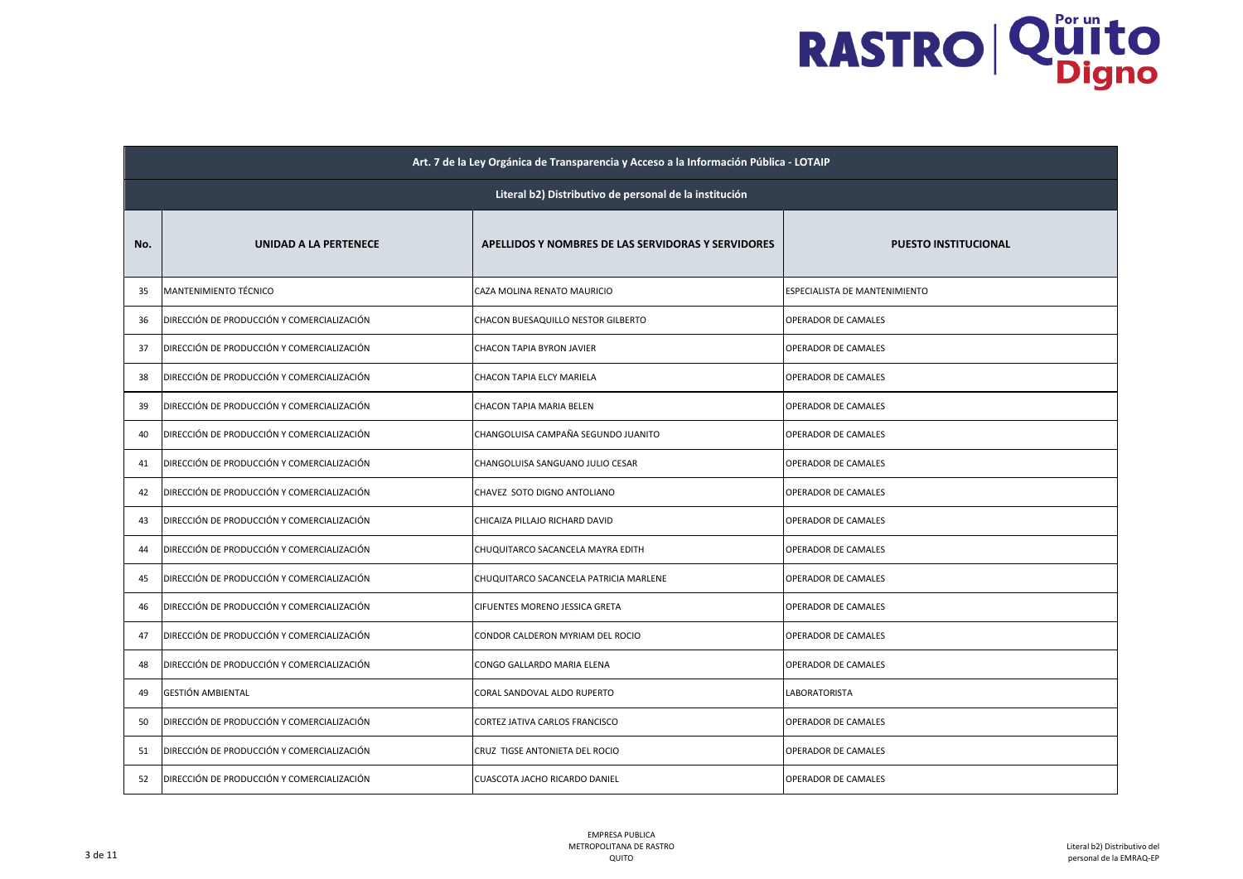|     | Art. 7 de la Ley Orgánica de Transparencia y Acceso a la Información Pública - LOTAIP |                                                    |                               |  |
|-----|---------------------------------------------------------------------------------------|----------------------------------------------------|-------------------------------|--|
|     | Literal b2) Distributivo de personal de la institución                                |                                                    |                               |  |
| No. | UNIDAD A LA PERTENECE                                                                 | APELLIDOS Y NOMBRES DE LAS SERVIDORAS Y SERVIDORES | <b>PUESTO INSTITUCIONAL</b>   |  |
| 35  | MANTENIMIENTO TÉCNICO                                                                 | CAZA MOLINA RENATO MAURICIO                        | ESPECIALISTA DE MANTENIMIENTO |  |
| 36  | DIRECCIÓN DE PRODUCCIÓN Y COMERCIALIZACIÓN                                            | CHACON BUESAQUILLO NESTOR GILBERTO                 | OPERADOR DE CAMALES           |  |
| 37  | DIRECCIÓN DE PRODUCCIÓN Y COMERCIALIZACIÓN                                            | CHACON TAPIA BYRON JAVIER                          | OPERADOR DE CAMALES           |  |
| 38  | DIRECCIÓN DE PRODUCCIÓN Y COMERCIALIZACIÓN                                            | CHACON TAPIA ELCY MARIELA                          | OPERADOR DE CAMALES           |  |
| 39  | DIRECCIÓN DE PRODUCCIÓN Y COMERCIALIZACIÓN                                            | CHACON TAPIA MARIA BELEN                           | OPERADOR DE CAMALES           |  |
| 40  | DIRECCIÓN DE PRODUCCIÓN Y COMERCIALIZACIÓN                                            | CHANGOLUISA CAMPAÑA SEGUNDO JUANITO                | OPERADOR DE CAMALES           |  |
| 41  | DIRECCIÓN DE PRODUCCIÓN Y COMERCIALIZACIÓN                                            | CHANGOLUISA SANGUANO JULIO CESAR                   | OPERADOR DE CAMALES           |  |
| 42  | DIRECCIÓN DE PRODUCCIÓN Y COMERCIALIZACIÓN                                            | CHAVEZ SOTO DIGNO ANTOLIANO                        | OPERADOR DE CAMALES           |  |
| 43  | DIRECCIÓN DE PRODUCCIÓN Y COMERCIALIZACIÓN                                            | CHICAIZA PILLAJO RICHARD DAVID                     | OPERADOR DE CAMALES           |  |
| 44  | DIRECCIÓN DE PRODUCCIÓN Y COMERCIALIZACIÓN                                            | CHUQUITARCO SACANCELA MAYRA EDITH                  | OPERADOR DE CAMALES           |  |
| 45  | DIRECCIÓN DE PRODUCCIÓN Y COMERCIALIZACIÓN                                            | CHUQUITARCO SACANCELA PATRICIA MARLENE             | OPERADOR DE CAMALES           |  |
| 46  | DIRECCIÓN DE PRODUCCIÓN Y COMERCIALIZACIÓN                                            | CIFUENTES MORENO JESSICA GRETA                     | OPERADOR DE CAMALES           |  |
| 47  | DIRECCIÓN DE PRODUCCIÓN Y COMERCIALIZACIÓN                                            | CONDOR CALDERON MYRIAM DEL ROCIO                   | OPERADOR DE CAMALES           |  |
| 48  | DIRECCIÓN DE PRODUCCIÓN Y COMERCIALIZACIÓN                                            | CONGO GALLARDO MARIA ELENA                         | OPERADOR DE CAMALES           |  |
| 49  | <b>GESTIÓN AMBIENTAL</b>                                                              | CORAL SANDOVAL ALDO RUPERTO                        | LABORATORISTA                 |  |
| 50  | DIRECCIÓN DE PRODUCCIÓN Y COMERCIALIZACIÓN                                            | CORTEZ JATIVA CARLOS FRANCISCO                     | OPERADOR DE CAMALES           |  |
| 51  | DIRECCIÓN DE PRODUCCIÓN Y COMERCIALIZACIÓN                                            | CRUZ TIGSE ANTONIETA DEL ROCIO                     | OPERADOR DE CAMALES           |  |
| 52  | DIRECCIÓN DE PRODUCCIÓN Y COMERCIALIZACIÓN                                            | CUASCOTA JACHO RICARDO DANIEL                      | OPERADOR DE CAMALES           |  |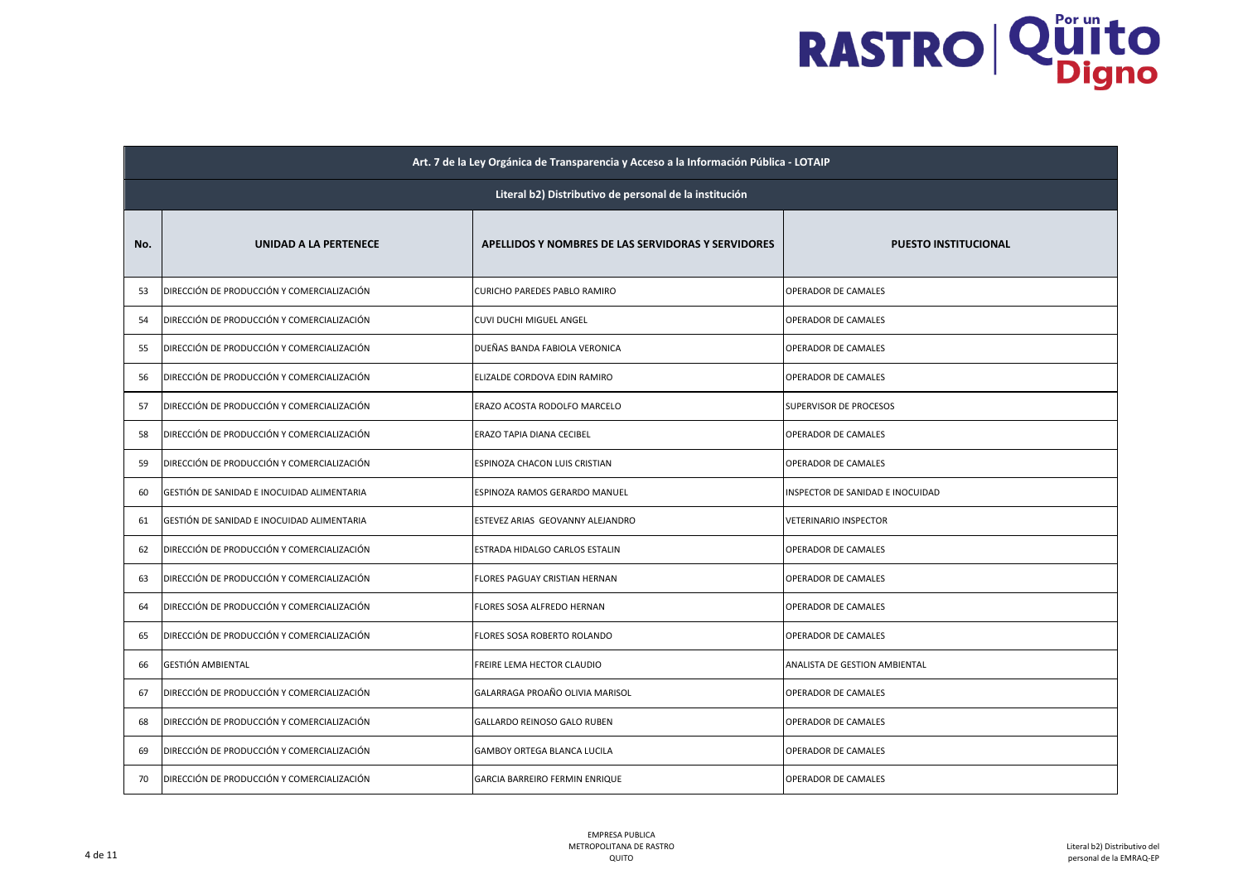|     | Art. 7 de la Ley Orgánica de Transparencia y Acceso a la Información Pública - LOTAIP |                                                    |                                  |  |
|-----|---------------------------------------------------------------------------------------|----------------------------------------------------|----------------------------------|--|
|     | Literal b2) Distributivo de personal de la institución                                |                                                    |                                  |  |
| No. | UNIDAD A LA PERTENECE                                                                 | APELLIDOS Y NOMBRES DE LAS SERVIDORAS Y SERVIDORES | <b>PUESTO INSTITUCIONAL</b>      |  |
| 53  | DIRECCIÓN DE PRODUCCIÓN Y COMERCIALIZACIÓN                                            | CURICHO PAREDES PABLO RAMIRO                       | OPERADOR DE CAMALES              |  |
| 54  | DIRECCIÓN DE PRODUCCIÓN Y COMERCIALIZACIÓN                                            | CUVI DUCHI MIGUEL ANGEL                            | OPERADOR DE CAMALES              |  |
| 55  | DIRECCIÓN DE PRODUCCIÓN Y COMERCIALIZACIÓN                                            | DUEÑAS BANDA FABIOLA VERONICA                      | OPERADOR DE CAMALES              |  |
| 56  | DIRECCIÓN DE PRODUCCIÓN Y COMERCIALIZACIÓN                                            | ELIZALDE CORDOVA EDIN RAMIRO                       | OPERADOR DE CAMALES              |  |
| 57  | DIRECCIÓN DE PRODUCCIÓN Y COMERCIALIZACIÓN                                            | ERAZO ACOSTA RODOLFO MARCELO                       | SUPERVISOR DE PROCESOS           |  |
| 58  | DIRECCIÓN DE PRODUCCIÓN Y COMERCIALIZACIÓN                                            | ERAZO TAPIA DIANA CECIBEL                          | OPERADOR DE CAMALES              |  |
| 59  | DIRECCIÓN DE PRODUCCIÓN Y COMERCIALIZACIÓN                                            | ESPINOZA CHACON LUIS CRISTIAN                      | OPERADOR DE CAMALES              |  |
| 60  | GESTIÓN DE SANIDAD E INOCUIDAD ALIMENTARIA                                            | ESPINOZA RAMOS GERARDO MANUEL                      | INSPECTOR DE SANIDAD E INOCUIDAD |  |
| 61  | GESTIÓN DE SANIDAD E INOCUIDAD ALIMENTARIA                                            | ESTEVEZ ARIAS GEOVANNY ALEJANDRO                   | VETERINARIO INSPECTOR            |  |
| 62  | DIRECCIÓN DE PRODUCCIÓN Y COMERCIALIZACIÓN                                            | ESTRADA HIDALGO CARLOS ESTALIN                     | OPERADOR DE CAMALES              |  |
| 63  | DIRECCIÓN DE PRODUCCIÓN Y COMERCIALIZACIÓN                                            | FLORES PAGUAY CRISTIAN HERNAN                      | OPERADOR DE CAMALES              |  |
| 64  | DIRECCIÓN DE PRODUCCIÓN Y COMERCIALIZACIÓN                                            | FLORES SOSA ALFREDO HERNAN                         | OPERADOR DE CAMALES              |  |
| 65  | DIRECCIÓN DE PRODUCCIÓN Y COMERCIALIZACIÓN                                            | FLORES SOSA ROBERTO ROLANDO                        | OPERADOR DE CAMALES              |  |
| 66  | <b>GESTIÓN AMBIENTAL</b>                                                              | FREIRE LEMA HECTOR CLAUDIO                         | ANALISTA DE GESTION AMBIENTAL    |  |
| 67  | DIRECCIÓN DE PRODUCCIÓN Y COMERCIALIZACIÓN                                            | GALARRAGA PROAÑO OLIVIA MARISOL                    | OPERADOR DE CAMALES              |  |
| 68  | DIRECCIÓN DE PRODUCCIÓN Y COMERCIALIZACIÓN                                            | GALLARDO REINOSO GALO RUBEN                        | OPERADOR DE CAMALES              |  |
| 69  | DIRECCIÓN DE PRODUCCIÓN Y COMERCIALIZACIÓN                                            | GAMBOY ORTEGA BLANCA LUCILA                        | OPERADOR DE CAMALES              |  |
| 70  | DIRECCIÓN DE PRODUCCIÓN Y COMERCIALIZACIÓN                                            | GARCIA BARREIRO FERMIN ENRIQUE                     | OPERADOR DE CAMALES              |  |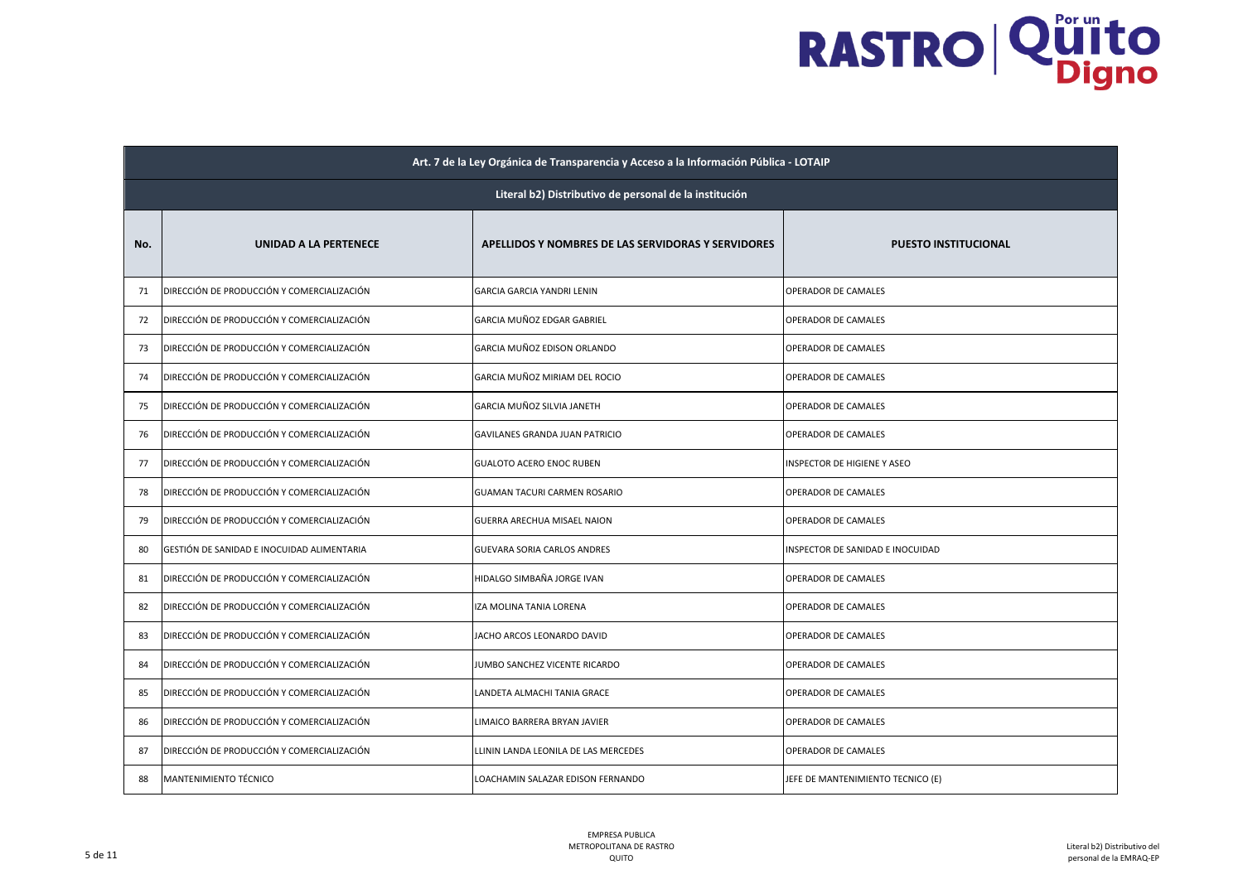|     | Art. 7 de la Ley Orgánica de Transparencia y Acceso a la Información Pública - LOTAIP |                                                    |                                   |  |
|-----|---------------------------------------------------------------------------------------|----------------------------------------------------|-----------------------------------|--|
|     | Literal b2) Distributivo de personal de la institución                                |                                                    |                                   |  |
| No. | UNIDAD A LA PERTENECE                                                                 | APELLIDOS Y NOMBRES DE LAS SERVIDORAS Y SERVIDORES | <b>PUESTO INSTITUCIONAL</b>       |  |
| 71  | DIRECCIÓN DE PRODUCCIÓN Y COMERCIALIZACIÓN                                            | GARCIA GARCIA YANDRI LENIN                         | OPERADOR DE CAMALES               |  |
| 72  | DIRECCIÓN DE PRODUCCIÓN Y COMERCIALIZACIÓN                                            | GARCIA MUÑOZ EDGAR GABRIEL                         | OPERADOR DE CAMALES               |  |
| 73  | DIRECCIÓN DE PRODUCCIÓN Y COMERCIALIZACIÓN                                            | GARCIA MUÑOZ EDISON ORLANDO                        | OPERADOR DE CAMALES               |  |
| 74  | DIRECCIÓN DE PRODUCCIÓN Y COMERCIALIZACIÓN                                            | GARCIA MUÑOZ MIRIAM DEL ROCIO                      | OPERADOR DE CAMALES               |  |
| 75  | DIRECCIÓN DE PRODUCCIÓN Y COMERCIALIZACIÓN                                            | GARCIA MUÑOZ SILVIA JANETH                         | OPERADOR DE CAMALES               |  |
| 76  | DIRECCIÓN DE PRODUCCIÓN Y COMERCIALIZACIÓN                                            | GAVILANES GRANDA JUAN PATRICIO                     | OPERADOR DE CAMALES               |  |
| 77  | DIRECCIÓN DE PRODUCCIÓN Y COMERCIALIZACIÓN                                            | <b>GUALOTO ACERO ENOC RUBEN</b>                    | INSPECTOR DE HIGIENE Y ASEO       |  |
| 78  | DIRECCIÓN DE PRODUCCIÓN Y COMERCIALIZACIÓN                                            | GUAMAN TACURI CARMEN ROSARIO                       | OPERADOR DE CAMALES               |  |
| 79  | DIRECCIÓN DE PRODUCCIÓN Y COMERCIALIZACIÓN                                            | GUERRA ARECHUA MISAEL NAION                        | OPERADOR DE CAMALES               |  |
| 80  | GESTIÓN DE SANIDAD E INOCUIDAD ALIMENTARIA                                            | <b>GUEVARA SORIA CARLOS ANDRES</b>                 | INSPECTOR DE SANIDAD E INOCUIDAD  |  |
| 81  | DIRECCIÓN DE PRODUCCIÓN Y COMERCIALIZACIÓN                                            | HIDALGO SIMBAÑA JORGE IVAN                         | OPERADOR DE CAMALES               |  |
| 82  | DIRECCIÓN DE PRODUCCIÓN Y COMERCIALIZACIÓN                                            | <b>ZA MOLINA TANIA LORENA</b>                      | OPERADOR DE CAMALES               |  |
| 83  | DIRECCIÓN DE PRODUCCIÓN Y COMERCIALIZACIÓN                                            | JACHO ARCOS LEONARDO DAVID                         | OPERADOR DE CAMALES               |  |
| 84  | DIRECCIÓN DE PRODUCCIÓN Y COMERCIALIZACIÓN                                            | JUMBO SANCHEZ VICENTE RICARDO                      | OPERADOR DE CAMALES               |  |
| 85  | DIRECCIÓN DE PRODUCCIÓN Y COMERCIALIZACIÓN                                            | LANDETA ALMACHI TANIA GRACE                        | OPERADOR DE CAMALES               |  |
| 86  | DIRECCIÓN DE PRODUCCIÓN Y COMERCIALIZACIÓN                                            | LIMAICO BARRERA BRYAN JAVIER                       | OPERADOR DE CAMALES               |  |
| 87  | DIRECCIÓN DE PRODUCCIÓN Y COMERCIALIZACIÓN                                            | LLININ LANDA LEONILA DE LAS MERCEDES               | OPERADOR DE CAMALES               |  |
| 88  | MANTENIMIENTO TÉCNICO                                                                 | LOACHAMIN SALAZAR EDISON FERNANDO                  | JEFE DE MANTENIMIENTO TECNICO (E) |  |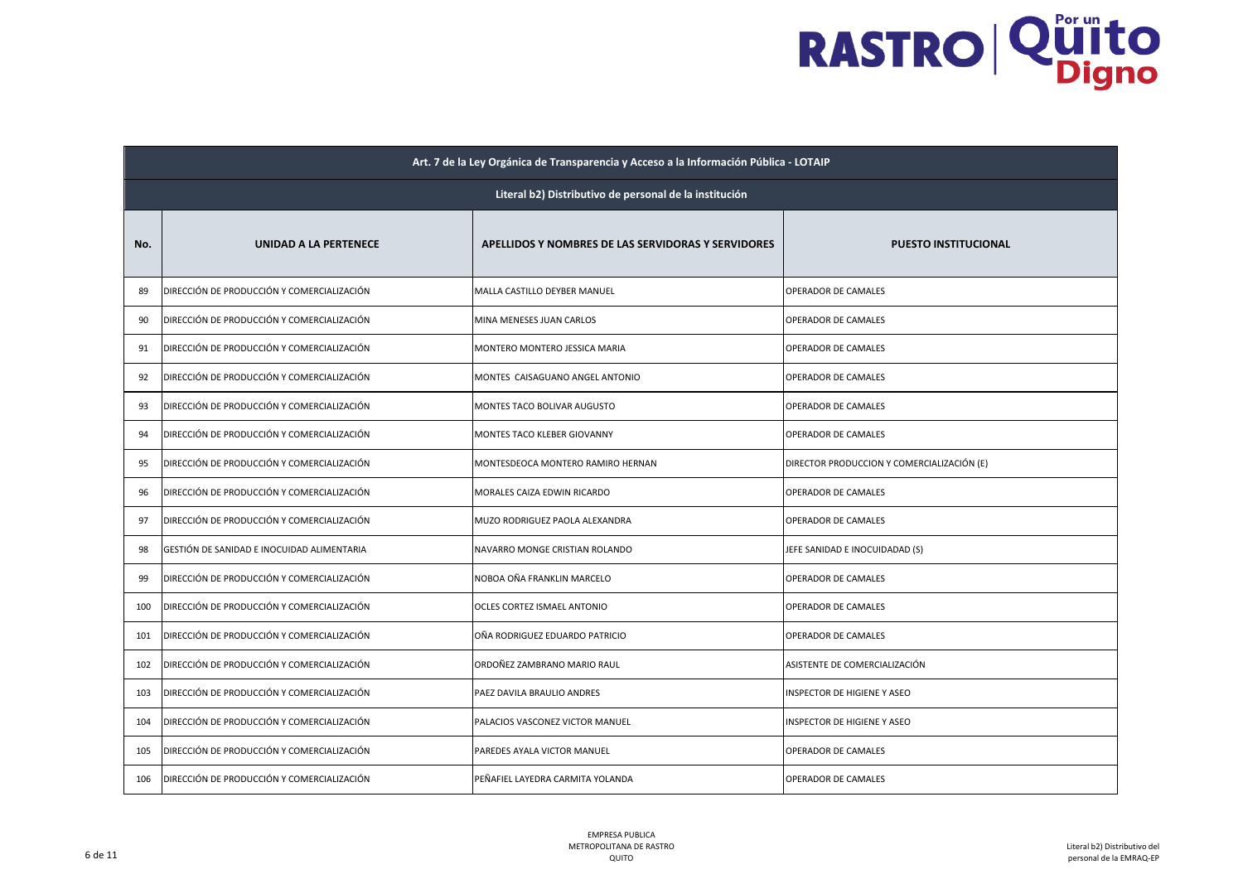|     | Art. 7 de la Ley Orgánica de Transparencia y Acceso a la Información Pública - LOTAIP |                                                    |                                            |  |
|-----|---------------------------------------------------------------------------------------|----------------------------------------------------|--------------------------------------------|--|
|     | Literal b2) Distributivo de personal de la institución                                |                                                    |                                            |  |
| No. | UNIDAD A LA PERTENECE                                                                 | APELLIDOS Y NOMBRES DE LAS SERVIDORAS Y SERVIDORES | <b>PUESTO INSTITUCIONAL</b>                |  |
| 89  | DIRECCIÓN DE PRODUCCIÓN Y COMERCIALIZACIÓN                                            | MALLA CASTILLO DEYBER MANUEL                       | OPERADOR DE CAMALES                        |  |
| 90  | DIRECCIÓN DE PRODUCCIÓN Y COMERCIALIZACIÓN                                            | MINA MENESES JUAN CARLOS                           | OPERADOR DE CAMALES                        |  |
| 91  | DIRECCIÓN DE PRODUCCIÓN Y COMERCIALIZACIÓN                                            | MONTERO MONTERO JESSICA MARIA                      | OPERADOR DE CAMALES                        |  |
| 92  | DIRECCIÓN DE PRODUCCIÓN Y COMERCIALIZACIÓN                                            | MONTES CAISAGUANO ANGEL ANTONIO                    | OPERADOR DE CAMALES                        |  |
| 93  | DIRECCIÓN DE PRODUCCIÓN Y COMERCIALIZACIÓN                                            | MONTES TACO BOLIVAR AUGUSTO                        | OPERADOR DE CAMALES                        |  |
| 94  | DIRECCIÓN DE PRODUCCIÓN Y COMERCIALIZACIÓN                                            | MONTES TACO KLEBER GIOVANNY                        | OPERADOR DE CAMALES                        |  |
| 95  | DIRECCIÓN DE PRODUCCIÓN Y COMERCIALIZACIÓN                                            | MONTESDEOCA MONTERO RAMIRO HERNAN                  | DIRECTOR PRODUCCION Y COMERCIALIZACIÓN (E) |  |
| 96  | DIRECCIÓN DE PRODUCCIÓN Y COMERCIALIZACIÓN                                            | MORALES CAIZA EDWIN RICARDO                        | OPERADOR DE CAMALES                        |  |
| 97  | DIRECCIÓN DE PRODUCCIÓN Y COMERCIALIZACIÓN                                            | MUZO RODRIGUEZ PAOLA ALEXANDRA                     | <b>OPERADOR DE CAMALES</b>                 |  |
| 98  | GESTIÓN DE SANIDAD E INOCUIDAD ALIMENTARIA                                            | NAVARRO MONGE CRISTIAN ROLANDO                     | JEFE SANIDAD E INOCUIDADAD (S)             |  |
| 99  | DIRECCIÓN DE PRODUCCIÓN Y COMERCIALIZACIÓN                                            | NOBOA OÑA FRANKLIN MARCELO                         | OPERADOR DE CAMALES                        |  |
| 100 | DIRECCIÓN DE PRODUCCIÓN Y COMERCIALIZACIÓN                                            | OCLES CORTEZ ISMAEL ANTONIO                        | OPERADOR DE CAMALES                        |  |
| 101 | DIRECCIÓN DE PRODUCCIÓN Y COMERCIALIZACIÓN                                            | OÑA RODRIGUEZ EDUARDO PATRICIO                     | OPERADOR DE CAMALES                        |  |
| 102 | DIRECCIÓN DE PRODUCCIÓN Y COMERCIALIZACIÓN                                            | ORDOÑEZ ZAMBRANO MARIO RAUL                        | ASISTENTE DE COMERCIALIZACIÓN              |  |
| 103 | DIRECCIÓN DE PRODUCCIÓN Y COMERCIALIZACIÓN                                            | PAEZ DAVILA BRAULIO ANDRES                         | <b>INSPECTOR DE HIGIENE Y ASEO</b>         |  |
| 104 | DIRECCIÓN DE PRODUCCIÓN Y COMERCIALIZACIÓN                                            | PALACIOS VASCONEZ VICTOR MANUEL                    | <b>INSPECTOR DE HIGIENE Y ASEO</b>         |  |
| 105 | DIRECCIÓN DE PRODUCCIÓN Y COMERCIALIZACIÓN                                            | PAREDES AYALA VICTOR MANUEL                        | OPERADOR DE CAMALES                        |  |
| 106 | DIRECCIÓN DE PRODUCCIÓN Y COMERCIALIZACIÓN                                            | PEÑAFIEL LAYEDRA CARMITA YOLANDA                   | OPERADOR DE CAMALES                        |  |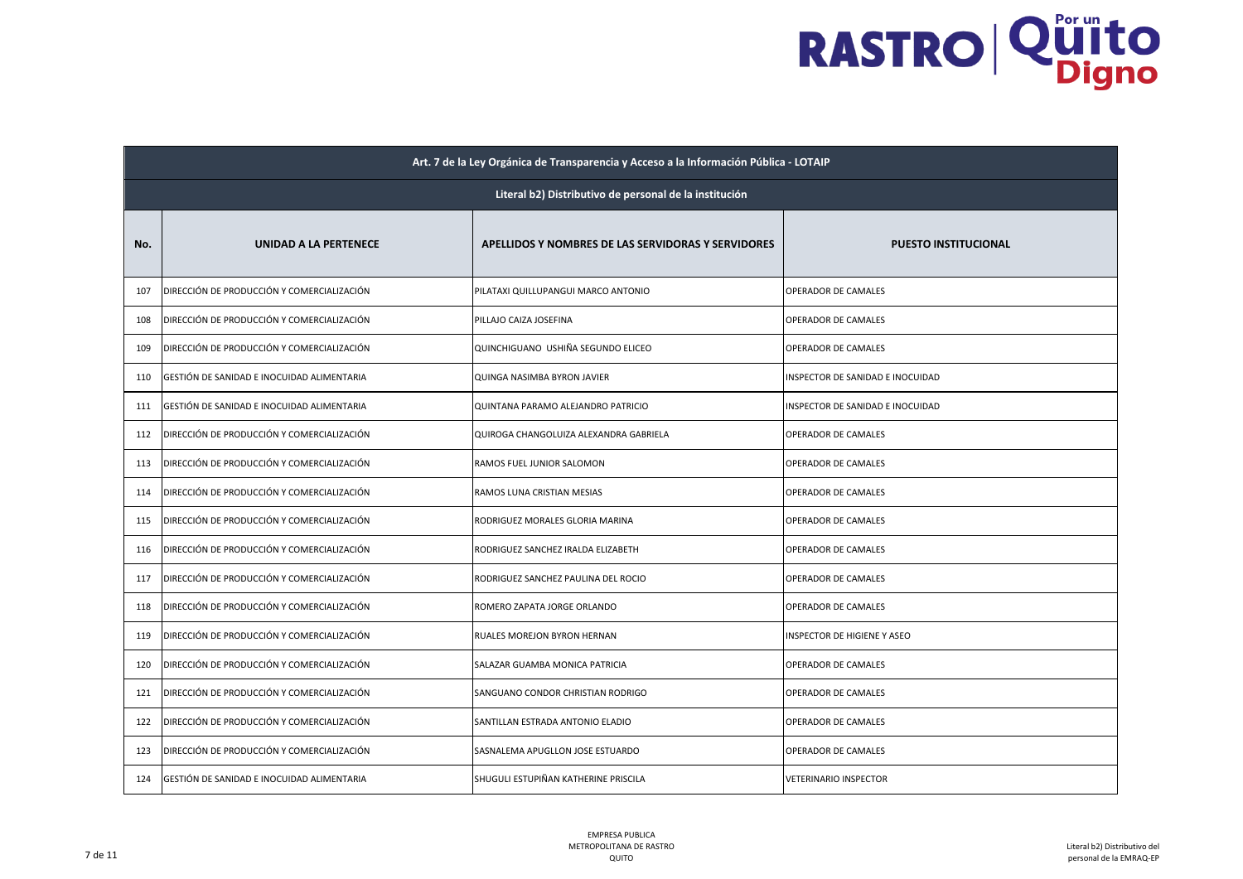|     | Art. 7 de la Ley Orgánica de Transparencia y Acceso a la Información Pública - LOTAIP |                                                    |                                  |  |  |
|-----|---------------------------------------------------------------------------------------|----------------------------------------------------|----------------------------------|--|--|
|     | Literal b2) Distributivo de personal de la institución                                |                                                    |                                  |  |  |
| No. | UNIDAD A LA PERTENECE                                                                 | APELLIDOS Y NOMBRES DE LAS SERVIDORAS Y SERVIDORES | <b>PUESTO INSTITUCIONAL</b>      |  |  |
| 107 | DIRECCIÓN DE PRODUCCIÓN Y COMERCIALIZACIÓN                                            | PILATAXI QUILLUPANGUI MARCO ANTONIO                | OPERADOR DE CAMALES              |  |  |
| 108 | DIRECCIÓN DE PRODUCCIÓN Y COMERCIALIZACIÓN                                            | PILLAJO CAIZA JOSEFINA                             | OPERADOR DE CAMALES              |  |  |
| 109 | DIRECCIÓN DE PRODUCCIÓN Y COMERCIALIZACIÓN                                            | QUINCHIGUANO USHIÑA SEGUNDO ELICEO                 | OPERADOR DE CAMALES              |  |  |
| 110 | GESTIÓN DE SANIDAD E INOCUIDAD ALIMENTARIA                                            | QUINGA NASIMBA BYRON JAVIER                        | INSPECTOR DE SANIDAD E INOCUIDAD |  |  |
| 111 | GESTIÓN DE SANIDAD E INOCUIDAD ALIMENTARIA                                            | QUINTANA PARAMO ALEJANDRO PATRICIO                 | INSPECTOR DE SANIDAD E INOCUIDAD |  |  |
| 112 | DIRECCIÓN DE PRODUCCIÓN Y COMERCIALIZACIÓN                                            | QUIROGA CHANGOLUIZA ALEXANDRA GABRIELA             | OPERADOR DE CAMALES              |  |  |
| 113 | DIRECCIÓN DE PRODUCCIÓN Y COMERCIALIZACIÓN                                            | RAMOS FUEL JUNIOR SALOMON                          | OPERADOR DE CAMALES              |  |  |
| 114 | DIRECCIÓN DE PRODUCCIÓN Y COMERCIALIZACIÓN                                            | RAMOS LUNA CRISTIAN MESIAS                         | OPERADOR DE CAMALES              |  |  |
| 115 | DIRECCIÓN DE PRODUCCIÓN Y COMERCIALIZACIÓN                                            | RODRIGUEZ MORALES GLORIA MARINA                    | OPERADOR DE CAMALES              |  |  |
| 116 | DIRECCIÓN DE PRODUCCIÓN Y COMERCIALIZACIÓN                                            | RODRIGUEZ SANCHEZ IRALDA ELIZABETH                 | OPERADOR DE CAMALES              |  |  |
| 117 | DIRECCIÓN DE PRODUCCIÓN Y COMERCIALIZACIÓN                                            | RODRIGUEZ SANCHEZ PAULINA DEL ROCIO                | OPERADOR DE CAMALES              |  |  |
| 118 | DIRECCIÓN DE PRODUCCIÓN Y COMERCIALIZACIÓN                                            | ROMERO ZAPATA JORGE ORLANDO                        | OPERADOR DE CAMALES              |  |  |
| 119 | DIRECCIÓN DE PRODUCCIÓN Y COMERCIALIZACIÓN                                            | RUALES MOREJON BYRON HERNAN                        | INSPECTOR DE HIGIENE Y ASEO      |  |  |
| 120 | DIRECCIÓN DE PRODUCCIÓN Y COMERCIALIZACIÓN                                            | SALAZAR GUAMBA MONICA PATRICIA                     | OPERADOR DE CAMALES              |  |  |
| 121 | DIRECCIÓN DE PRODUCCIÓN Y COMERCIALIZACIÓN                                            | SANGUANO CONDOR CHRISTIAN RODRIGO                  | OPERADOR DE CAMALES              |  |  |
| 122 | DIRECCIÓN DE PRODUCCIÓN Y COMERCIALIZACIÓN                                            | SANTILLAN ESTRADA ANTONIO ELADIO                   | OPERADOR DE CAMALES              |  |  |
| 123 | DIRECCIÓN DE PRODUCCIÓN Y COMERCIALIZACIÓN                                            | SASNALEMA APUGLLON JOSE ESTUARDO                   | OPERADOR DE CAMALES              |  |  |
| 124 | GESTIÓN DE SANIDAD E INOCUIDAD ALIMENTARIA                                            | SHUGULI ESTUPIÑAN KATHERINE PRISCILA               | <b>VETERINARIO INSPECTOR</b>     |  |  |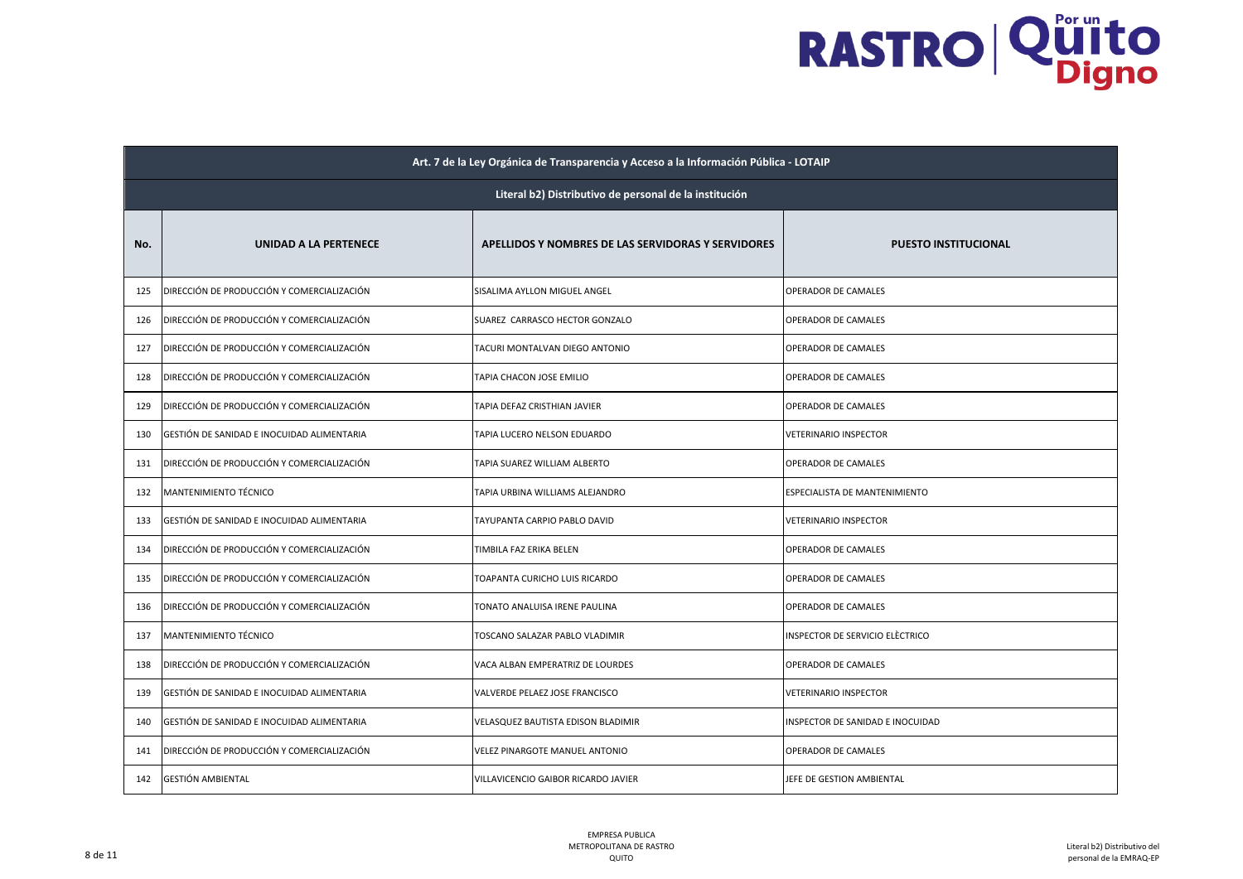|     | Art. 7 de la Ley Orgánica de Transparencia y Acceso a la Información Pública - LOTAIP |                                                    |                                  |  |
|-----|---------------------------------------------------------------------------------------|----------------------------------------------------|----------------------------------|--|
|     | Literal b2) Distributivo de personal de la institución                                |                                                    |                                  |  |
| No. | UNIDAD A LA PERTENECE                                                                 | APELLIDOS Y NOMBRES DE LAS SERVIDORAS Y SERVIDORES | <b>PUESTO INSTITUCIONAL</b>      |  |
| 125 | DIRECCIÓN DE PRODUCCIÓN Y COMERCIALIZACIÓN                                            | SISALIMA AYLLON MIGUEL ANGEL                       | OPERADOR DE CAMALES              |  |
| 126 | DIRECCIÓN DE PRODUCCIÓN Y COMERCIALIZACIÓN                                            | SUAREZ CARRASCO HECTOR GONZALO                     | OPERADOR DE CAMALES              |  |
| 127 | DIRECCIÓN DE PRODUCCIÓN Y COMERCIALIZACIÓN                                            | TACURI MONTALVAN DIEGO ANTONIO                     | OPERADOR DE CAMALES              |  |
| 128 | DIRECCIÓN DE PRODUCCIÓN Y COMERCIALIZACIÓN                                            | TAPIA CHACON JOSE EMILIO                           | OPERADOR DE CAMALES              |  |
| 129 | DIRECCIÓN DE PRODUCCIÓN Y COMERCIALIZACIÓN                                            | TAPIA DEFAZ CRISTHIAN JAVIER                       | OPERADOR DE CAMALES              |  |
| 130 | GESTIÓN DE SANIDAD E INOCUIDAD ALIMENTARIA                                            | TAPIA LUCERO NELSON EDUARDO                        | VETERINARIO INSPECTOR            |  |
| 131 | DIRECCIÓN DE PRODUCCIÓN Y COMERCIALIZACIÓN                                            | TAPIA SUAREZ WILLIAM ALBERTO                       | OPERADOR DE CAMALES              |  |
| 132 | MANTENIMIENTO TÉCNICO                                                                 | TAPIA URBINA WILLIAMS ALEJANDRO                    | ESPECIALISTA DE MANTENIMIENTO    |  |
| 133 | GESTIÓN DE SANIDAD E INOCUIDAD ALIMENTARIA                                            | TAYUPANTA CARPIO PABLO DAVID                       | <b>VETERINARIO INSPECTOR</b>     |  |
| 134 | DIRECCIÓN DE PRODUCCIÓN Y COMERCIALIZACIÓN                                            | TIMBILA FAZ ERIKA BELEN                            | OPERADOR DE CAMALES              |  |
| 135 | DIRECCIÓN DE PRODUCCIÓN Y COMERCIALIZACIÓN                                            | TOAPANTA CURICHO LUIS RICARDO                      | OPERADOR DE CAMALES              |  |
| 136 | DIRECCIÓN DE PRODUCCIÓN Y COMERCIALIZACIÓN                                            | TONATO ANALUISA IRENE PAULINA                      | OPERADOR DE CAMALES              |  |
| 137 | MANTENIMIENTO TÉCNICO                                                                 | TOSCANO SALAZAR PABLO VLADIMIR                     | INSPECTOR DE SERVICIO ELÈCTRICO  |  |
| 138 | DIRECCIÓN DE PRODUCCIÓN Y COMERCIALIZACIÓN                                            | VACA ALBAN EMPERATRIZ DE LOURDES                   | OPERADOR DE CAMALES              |  |
| 139 | GESTIÓN DE SANIDAD E INOCUIDAD ALIMENTARIA                                            | VALVERDE PELAEZ JOSE FRANCISCO                     | VETERINARIO INSPECTOR            |  |
| 140 | GESTIÓN DE SANIDAD E INOCUIDAD ALIMENTARIA                                            | VELASQUEZ BAUTISTA EDISON BLADIMIR                 | INSPECTOR DE SANIDAD E INOCUIDAD |  |
| 141 | DIRECCIÓN DE PRODUCCIÓN Y COMERCIALIZACIÓN                                            | VELEZ PINARGOTE MANUEL ANTONIO                     | OPERADOR DE CAMALES              |  |
| 142 | GESTIÓN AMBIENTAL                                                                     | VILLAVICENCIO GAIBOR RICARDO JAVIER                | JEFE DE GESTION AMBIENTAL        |  |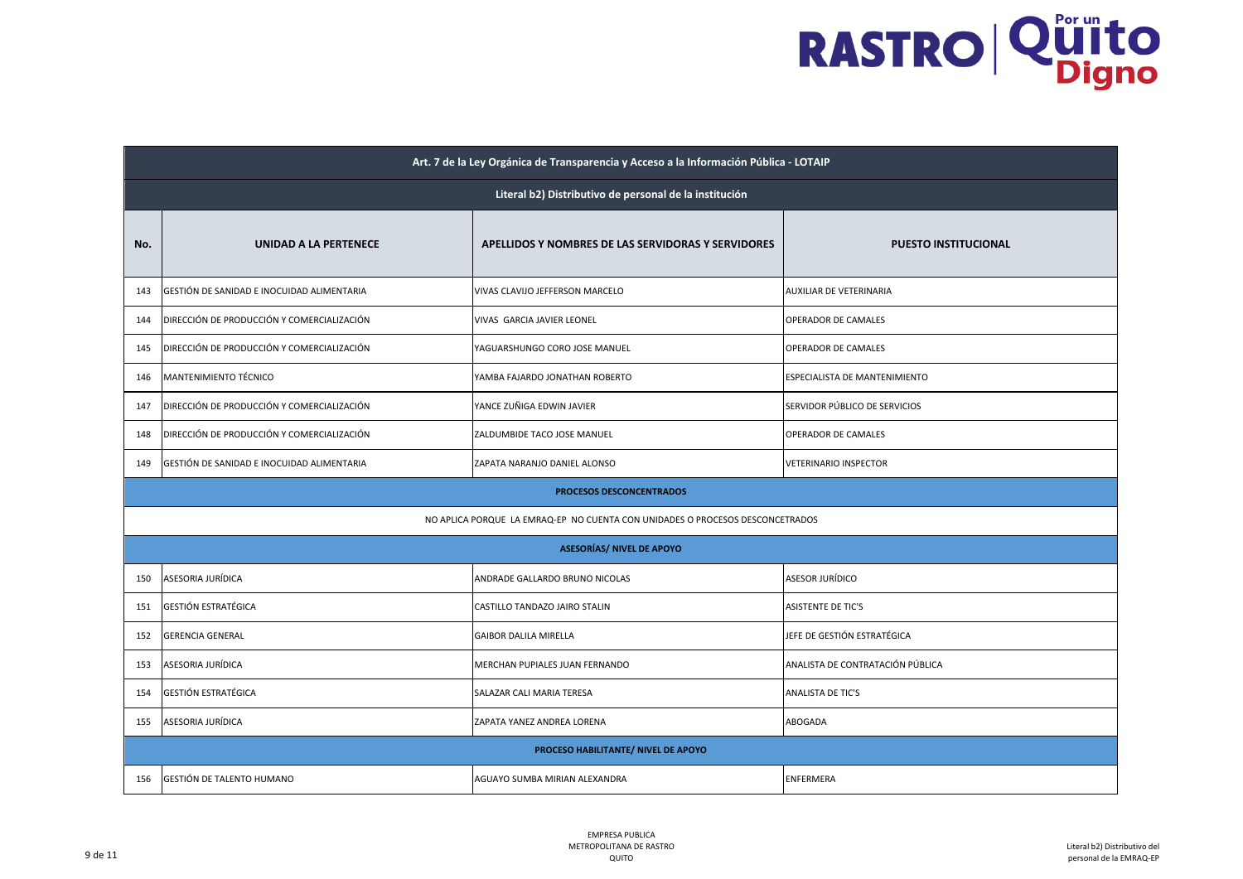|     | Art. 7 de la Ley Orgánica de Transparencia y Acceso a la Información Pública - LOTAIP |                                                                               |                                  |  |
|-----|---------------------------------------------------------------------------------------|-------------------------------------------------------------------------------|----------------------------------|--|
|     | Literal b2) Distributivo de personal de la institución                                |                                                                               |                                  |  |
| No. | <b>UNIDAD A LA PERTENECE</b>                                                          | APELLIDOS Y NOMBRES DE LAS SERVIDORAS Y SERVIDORES                            | <b>PUESTO INSTITUCIONAL</b>      |  |
| 143 | GESTIÓN DE SANIDAD E INOCUIDAD ALIMENTARIA                                            | VIVAS CLAVIJO JEFFERSON MARCELO                                               | AUXILIAR DE VETERINARIA          |  |
| 144 | DIRECCIÓN DE PRODUCCIÓN Y COMERCIALIZACIÓN                                            | VIVAS GARCIA JAVIER LEONEL                                                    | OPERADOR DE CAMALES              |  |
| 145 | DIRECCIÓN DE PRODUCCIÓN Y COMERCIALIZACIÓN                                            | YAGUARSHUNGO CORO JOSE MANUEL                                                 | OPERADOR DE CAMALES              |  |
| 146 | MANTENIMIENTO TÉCNICO                                                                 | YAMBA FAJARDO JONATHAN ROBERTO                                                | ESPECIALISTA DE MANTENIMIENTO    |  |
| 147 | DIRECCIÓN DE PRODUCCIÓN Y COMERCIALIZACIÓN                                            | YANCE ZUÑIGA EDWIN JAVIER                                                     | SERVIDOR PÚBLICO DE SERVICIOS    |  |
| 148 | DIRECCIÓN DE PRODUCCIÓN Y COMERCIALIZACIÓN                                            | ZALDUMBIDE TACO JOSE MANUEL                                                   | OPERADOR DE CAMALES              |  |
| 149 | GESTIÓN DE SANIDAD E INOCUIDAD ALIMENTARIA                                            | ZAPATA NARANJO DANIEL ALONSO                                                  | <b>VETERINARIO INSPECTOR</b>     |  |
|     |                                                                                       | PROCESOS DESCONCENTRADOS                                                      |                                  |  |
|     |                                                                                       | NO APLICA PORQUE LA EMRAQ-EP NO CUENTA CON UNIDADES O PROCESOS DESCONCETRADOS |                                  |  |
|     |                                                                                       | <b>ASESORÍAS/ NIVEL DE APOYO</b>                                              |                                  |  |
| 150 | ASESORIA JURÍDICA                                                                     | ANDRADE GALLARDO BRUNO NICOLAS                                                | ASESOR JURÍDICO                  |  |
| 151 | <b>GESTIÓN ESTRATÉGICA</b>                                                            | CASTILLO TANDAZO JAIRO STALIN                                                 | <b>ASISTENTE DE TIC'S</b>        |  |
| 152 | <b>GERENCIA GENERAL</b>                                                               | <b>GAIBOR DALILA MIRELLA</b>                                                  | JEFE DE GESTIÓN ESTRATÉGICA      |  |
| 153 | ASESORIA JURÍDICA                                                                     | MERCHAN PUPIALES JUAN FERNANDO                                                | ANALISTA DE CONTRATACIÓN PÚBLICA |  |
| 154 | <b>GESTIÓN ESTRATÉGICA</b>                                                            | SALAZAR CALI MARIA TERESA                                                     | ANALISTA DE TIC'S                |  |
| 155 | ASESORIA JURÍDICA                                                                     | ZAPATA YANEZ ANDREA LORENA                                                    | ABOGADA                          |  |
|     |                                                                                       | PROCESO HABILITANTE/ NIVEL DE APOYO                                           |                                  |  |
| 156 | GESTIÓN DE TALENTO HUMANO                                                             | AGUAYO SUMBA MIRIAN ALEXANDRA                                                 | ENFERMERA                        |  |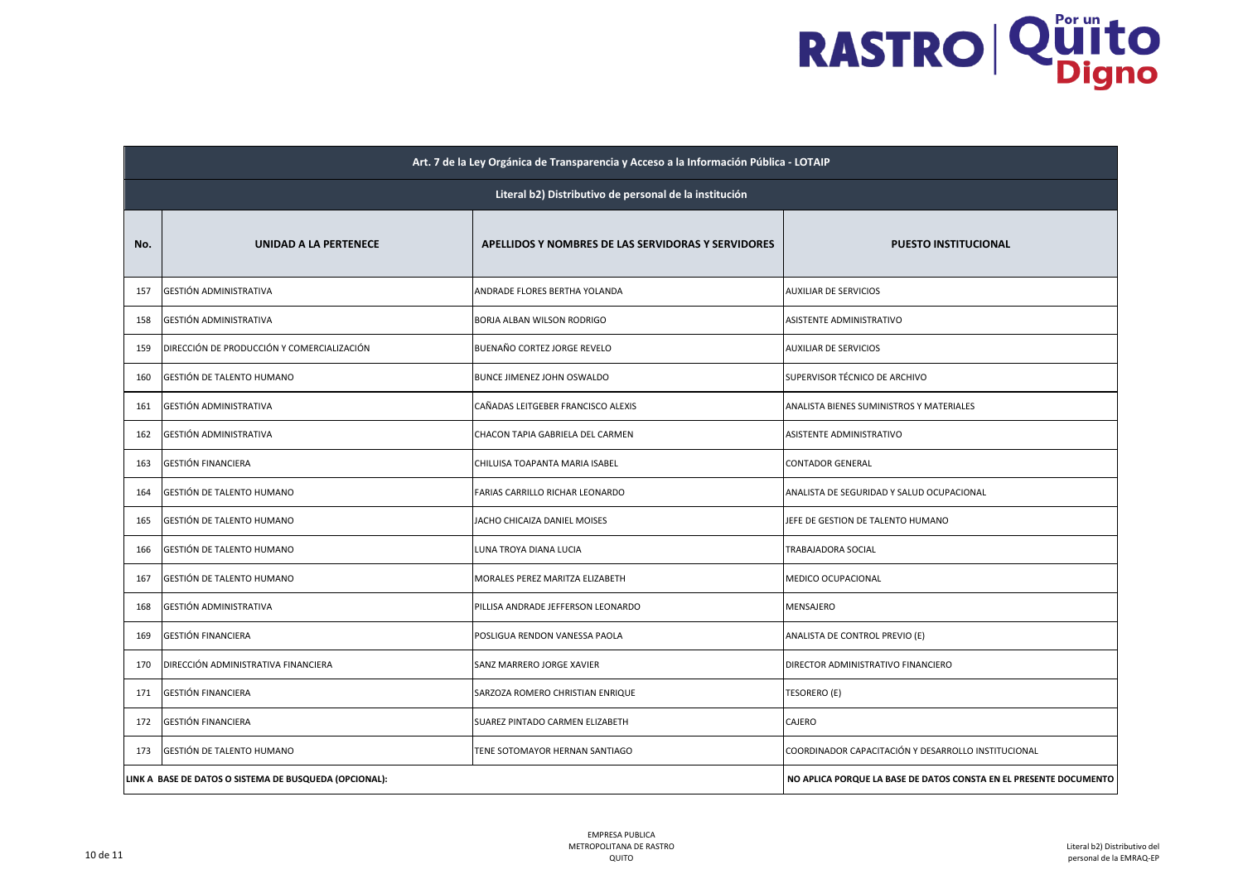|     | Art. 7 de la Ley Orgánica de Transparencia y Acceso a la Información Pública - LOTAIP |                                                                   |                                                     |  |
|-----|---------------------------------------------------------------------------------------|-------------------------------------------------------------------|-----------------------------------------------------|--|
|     | Literal b2) Distributivo de personal de la institución                                |                                                                   |                                                     |  |
| No. | UNIDAD A LA PERTENECE                                                                 | APELLIDOS Y NOMBRES DE LAS SERVIDORAS Y SERVIDORES                | <b>PUESTO INSTITUCIONAL</b>                         |  |
| 157 | GESTIÓN ADMINISTRATIVA                                                                | ANDRADE FLORES BERTHA YOLANDA                                     | <b>AUXILIAR DE SERVICIOS</b>                        |  |
| 158 | GESTIÓN ADMINISTRATIVA                                                                | BORJA ALBAN WILSON RODRIGO                                        | ASISTENTE ADMINISTRATIVO                            |  |
| 159 | DIRECCIÓN DE PRODUCCIÓN Y COMERCIALIZACIÓN                                            | BUENAÑO CORTEZ JORGE REVELO                                       | <b>AUXILIAR DE SERVICIOS</b>                        |  |
| 160 | GESTIÓN DE TALENTO HUMANO                                                             | BUNCE JIMENEZ JOHN OSWALDO                                        | SUPERVISOR TÉCNICO DE ARCHIVO                       |  |
| 161 | GESTIÓN ADMINISTRATIVA                                                                | CAÑADAS LEITGEBER FRANCISCO ALEXIS                                | ANALISTA BIENES SUMINISTROS Y MATERIALES            |  |
| 162 | GESTIÓN ADMINISTRATIVA                                                                | CHACON TAPIA GABRIELA DEL CARMEN                                  | ASISTENTE ADMINISTRATIVO                            |  |
| 163 | <b>GESTIÓN FINANCIERA</b>                                                             | CHILUISA TOAPANTA MARIA ISABEL                                    | CONTADOR GENERAL                                    |  |
| 164 | GESTIÓN DE TALENTO HUMANO                                                             | FARIAS CARRILLO RICHAR LEONARDO                                   | ANALISTA DE SEGURIDAD Y SALUD OCUPACIONAL           |  |
| 165 | GESTIÓN DE TALENTO HUMANO                                                             | JACHO CHICAIZA DANIEL MOISES                                      | JEFE DE GESTION DE TALENTO HUMANO                   |  |
| 166 | GESTIÓN DE TALENTO HUMANO                                                             | LUNA TROYA DIANA LUCIA                                            | TRABAJADORA SOCIAL                                  |  |
| 167 | GESTIÓN DE TALENTO HUMANO                                                             | MORALES PEREZ MARITZA ELIZABETH                                   | MEDICO OCUPACIONAL                                  |  |
| 168 | GESTIÓN ADMINISTRATIVA                                                                | PILLISA ANDRADE JEFFERSON LEONARDO                                | MENSAJERO                                           |  |
| 169 | <b>GESTIÓN FINANCIERA</b>                                                             | POSLIGUA RENDON VANESSA PAOLA                                     | ANALISTA DE CONTROL PREVIO (E)                      |  |
| 170 | DIRECCIÓN ADMINISTRATIVA FINANCIERA                                                   | SANZ MARRERO JORGE XAVIER                                         | DIRECTOR ADMINISTRATIVO FINANCIERO                  |  |
| 171 | <b>GESTIÓN FINANCIERA</b>                                                             | SARZOZA ROMERO CHRISTIAN ENRIQUE                                  | TESORERO (E)                                        |  |
| 172 | <b>GESTIÓN FINANCIERA</b>                                                             | SUAREZ PINTADO CARMEN ELIZABETH                                   | CAJERO                                              |  |
| 173 | GESTIÓN DE TALENTO HUMANO                                                             | TENE SOTOMAYOR HERNAN SANTIAGO                                    | COORDINADOR CAPACITACIÓN Y DESARROLLO INSTITUCIONAL |  |
|     | LINK A BASE DE DATOS O SISTEMA DE BUSQUEDA (OPCIONAL):                                | NO APLICA PORQUE LA BASE DE DATOS CONSTA EN EL PRESENTE DOCUMENTO |                                                     |  |